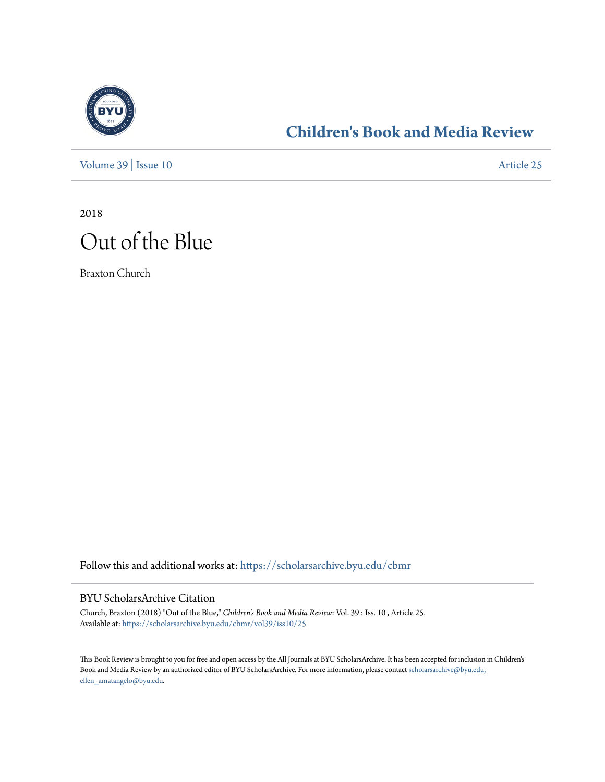

### **[Children's Book and Media Review](https://scholarsarchive.byu.edu/cbmr?utm_source=scholarsarchive.byu.edu%2Fcbmr%2Fvol39%2Fiss10%2F25&utm_medium=PDF&utm_campaign=PDFCoverPages)**

[Volume 39](https://scholarsarchive.byu.edu/cbmr/vol39?utm_source=scholarsarchive.byu.edu%2Fcbmr%2Fvol39%2Fiss10%2F25&utm_medium=PDF&utm_campaign=PDFCoverPages) | [Issue 10](https://scholarsarchive.byu.edu/cbmr/vol39/iss10?utm_source=scholarsarchive.byu.edu%2Fcbmr%2Fvol39%2Fiss10%2F25&utm_medium=PDF&utm_campaign=PDFCoverPages) [Article 25](https://scholarsarchive.byu.edu/cbmr/vol39/iss10/25?utm_source=scholarsarchive.byu.edu%2Fcbmr%2Fvol39%2Fiss10%2F25&utm_medium=PDF&utm_campaign=PDFCoverPages)

2018

# Out of the Blue

Braxton Church

Follow this and additional works at: [https://scholarsarchive.byu.edu/cbmr](https://scholarsarchive.byu.edu/cbmr?utm_source=scholarsarchive.byu.edu%2Fcbmr%2Fvol39%2Fiss10%2F25&utm_medium=PDF&utm_campaign=PDFCoverPages)

#### BYU ScholarsArchive Citation

Church, Braxton (2018) "Out of the Blue," *Children's Book and Media Review*: Vol. 39 : Iss. 10 , Article 25. Available at: [https://scholarsarchive.byu.edu/cbmr/vol39/iss10/25](https://scholarsarchive.byu.edu/cbmr/vol39/iss10/25?utm_source=scholarsarchive.byu.edu%2Fcbmr%2Fvol39%2Fiss10%2F25&utm_medium=PDF&utm_campaign=PDFCoverPages)

This Book Review is brought to you for free and open access by the All Journals at BYU ScholarsArchive. It has been accepted for inclusion in Children's Book and Media Review by an authorized editor of BYU ScholarsArchive. For more information, please contact [scholarsarchive@byu.edu,](mailto:scholarsarchive@byu.edu,%20ellen_amatangelo@byu.edu) [ellen\\_amatangelo@byu.edu.](mailto:scholarsarchive@byu.edu,%20ellen_amatangelo@byu.edu)